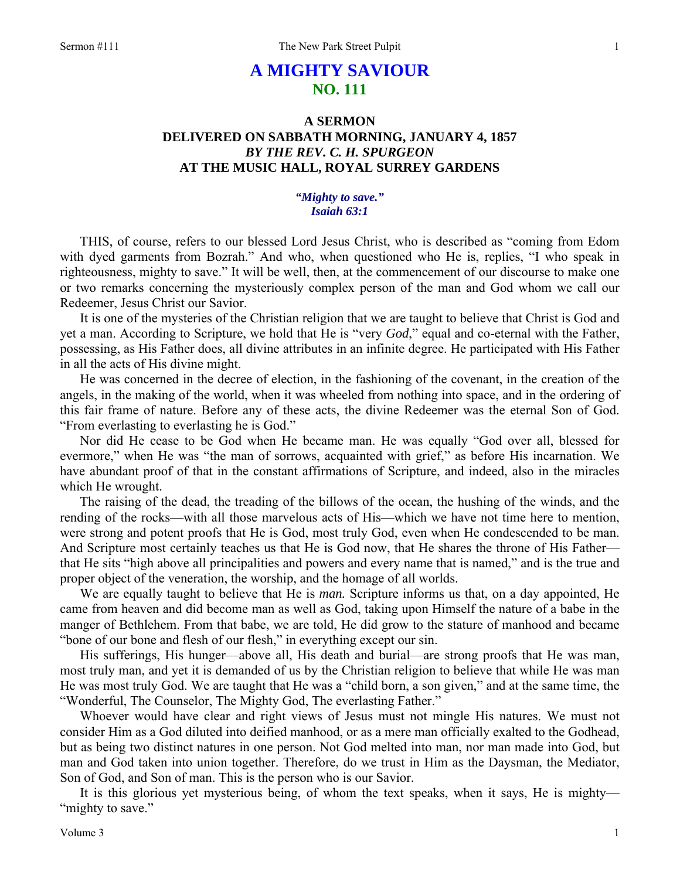## **A MIGHTY SAVIOUR NO. 111**

## **A SERMON DELIVERED ON SABBATH MORNING, JANUARY 4, 1857**  *BY THE REV. C. H. SPURGEON*  **AT THE MUSIC HALL, ROYAL SURREY GARDENS**

## *"Mighty to save." Isaiah 63:1*

THIS, of course, refers to our blessed Lord Jesus Christ, who is described as "coming from Edom with dyed garments from Bozrah." And who, when questioned who He is, replies, "I who speak in righteousness, mighty to save." It will be well, then, at the commencement of our discourse to make one or two remarks concerning the mysteriously complex person of the man and God whom we call our Redeemer, Jesus Christ our Savior.

It is one of the mysteries of the Christian religion that we are taught to believe that Christ is God and yet a man. According to Scripture, we hold that He is "very *God*," equal and co-eternal with the Father, possessing, as His Father does, all divine attributes in an infinite degree. He participated with His Father in all the acts of His divine might.

He was concerned in the decree of election, in the fashioning of the covenant, in the creation of the angels, in the making of the world, when it was wheeled from nothing into space, and in the ordering of this fair frame of nature. Before any of these acts, the divine Redeemer was the eternal Son of God. "From everlasting to everlasting he is God."

Nor did He cease to be God when He became man. He was equally "God over all, blessed for evermore," when He was "the man of sorrows, acquainted with grief," as before His incarnation. We have abundant proof of that in the constant affirmations of Scripture, and indeed, also in the miracles which He wrought.

The raising of the dead, the treading of the billows of the ocean, the hushing of the winds, and the rending of the rocks—with all those marvelous acts of His—which we have not time here to mention, were strong and potent proofs that He is God, most truly God, even when He condescended to be man. And Scripture most certainly teaches us that He is God now, that He shares the throne of His Father that He sits "high above all principalities and powers and every name that is named," and is the true and proper object of the veneration, the worship, and the homage of all worlds.

We are equally taught to believe that He is *man.* Scripture informs us that, on a day appointed, He came from heaven and did become man as well as God, taking upon Himself the nature of a babe in the manger of Bethlehem. From that babe, we are told, He did grow to the stature of manhood and became "bone of our bone and flesh of our flesh," in everything except our sin.

His sufferings, His hunger—above all, His death and burial—are strong proofs that He was man, most truly man, and yet it is demanded of us by the Christian religion to believe that while He was man He was most truly God. We are taught that He was a "child born, a son given," and at the same time, the "Wonderful, The Counselor, The Mighty God, The everlasting Father."

Whoever would have clear and right views of Jesus must not mingle His natures. We must not consider Him as a God diluted into deified manhood, or as a mere man officially exalted to the Godhead, but as being two distinct natures in one person. Not God melted into man, nor man made into God, but man and God taken into union together. Therefore, do we trust in Him as the Daysman, the Mediator, Son of God, and Son of man. This is the person who is our Savior.

It is this glorious yet mysterious being, of whom the text speaks, when it says, He is mighty— "mighty to save."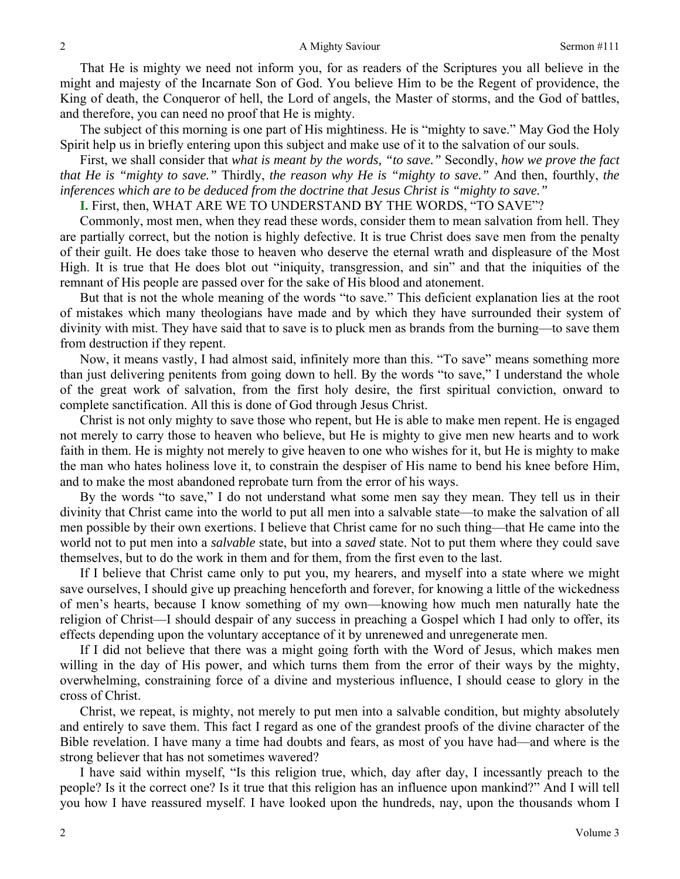That He is mighty we need not inform you, for as readers of the Scriptures you all believe in the might and majesty of the Incarnate Son of God. You believe Him to be the Regent of providence, the King of death, the Conqueror of hell, the Lord of angels, the Master of storms, and the God of battles, and therefore, you can need no proof that He is mighty.

The subject of this morning is one part of His mightiness. He is "mighty to save." May God the Holy Spirit help us in briefly entering upon this subject and make use of it to the salvation of our souls.

First, we shall consider that *what is meant by the words, "to save."* Secondly, *how we prove the fact that He is "mighty to save."* Thirdly, *the reason why He is "mighty to save."* And then, fourthly, *the inferences which are to be deduced from the doctrine that Jesus Christ is "mighty to save."* 

**I.** First, then, WHAT ARE WE TO UNDERSTAND BY THE WORDS, "TO SAVE"?

Commonly, most men, when they read these words, consider them to mean salvation from hell. They are partially correct, but the notion is highly defective. It is true Christ does save men from the penalty of their guilt. He does take those to heaven who deserve the eternal wrath and displeasure of the Most High. It is true that He does blot out "iniquity, transgression, and sin" and that the iniquities of the remnant of His people are passed over for the sake of His blood and atonement.

But that is not the whole meaning of the words "to save." This deficient explanation lies at the root of mistakes which many theologians have made and by which they have surrounded their system of divinity with mist. They have said that to save is to pluck men as brands from the burning—to save them from destruction if they repent.

Now, it means vastly, I had almost said, infinitely more than this. "To save" means something more than just delivering penitents from going down to hell. By the words "to save," I understand the whole of the great work of salvation, from the first holy desire, the first spiritual conviction, onward to complete sanctification. All this is done of God through Jesus Christ.

Christ is not only mighty to save those who repent, but He is able to make men repent. He is engaged not merely to carry those to heaven who believe, but He is mighty to give men new hearts and to work faith in them. He is mighty not merely to give heaven to one who wishes for it, but He is mighty to make the man who hates holiness love it, to constrain the despiser of His name to bend his knee before Him, and to make the most abandoned reprobate turn from the error of his ways.

By the words "to save," I do not understand what some men say they mean. They tell us in their divinity that Christ came into the world to put all men into a salvable state—to make the salvation of all men possible by their own exertions. I believe that Christ came for no such thing—that He came into the world not to put men into a *salvable* state, but into a *saved* state. Not to put them where they could save themselves, but to do the work in them and for them, from the first even to the last.

If I believe that Christ came only to put you, my hearers, and myself into a state where we might save ourselves, I should give up preaching henceforth and forever, for knowing a little of the wickedness of men's hearts, because I know something of my own—knowing how much men naturally hate the religion of Christ—I should despair of any success in preaching a Gospel which I had only to offer, its effects depending upon the voluntary acceptance of it by unrenewed and unregenerate men.

If I did not believe that there was a might going forth with the Word of Jesus, which makes men willing in the day of His power, and which turns them from the error of their ways by the mighty, overwhelming, constraining force of a divine and mysterious influence, I should cease to glory in the cross of Christ.

Christ, we repeat, is mighty, not merely to put men into a salvable condition, but mighty absolutely and entirely to save them. This fact I regard as one of the grandest proofs of the divine character of the Bible revelation. I have many a time had doubts and fears, as most of you have had—and where is the strong believer that has not sometimes wavered?

I have said within myself, "Is this religion true, which, day after day, I incessantly preach to the people? Is it the correct one? Is it true that this religion has an influence upon mankind?" And I will tell you how I have reassured myself. I have looked upon the hundreds, nay, upon the thousands whom I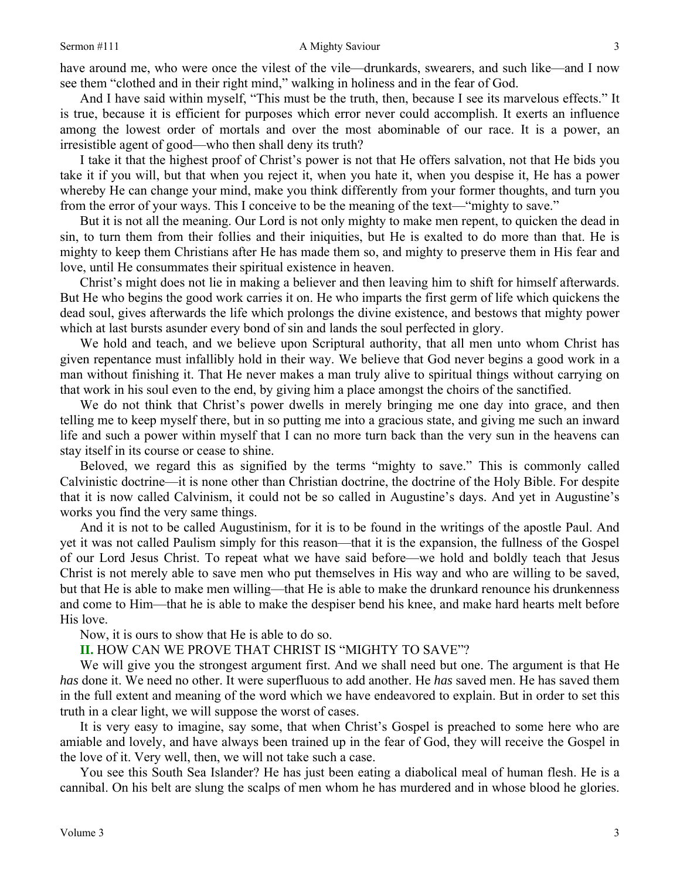have around me, who were once the vilest of the vile—drunkards, swearers, and such like—and I now see them "clothed and in their right mind," walking in holiness and in the fear of God.

And I have said within myself, "This must be the truth, then, because I see its marvelous effects." It is true, because it is efficient for purposes which error never could accomplish. It exerts an influence among the lowest order of mortals and over the most abominable of our race. It is a power, an irresistible agent of good—who then shall deny its truth?

I take it that the highest proof of Christ's power is not that He offers salvation, not that He bids you take it if you will, but that when you reject it, when you hate it, when you despise it, He has a power whereby He can change your mind, make you think differently from your former thoughts, and turn you from the error of your ways. This I conceive to be the meaning of the text—"mighty to save."

But it is not all the meaning. Our Lord is not only mighty to make men repent, to quicken the dead in sin, to turn them from their follies and their iniquities, but He is exalted to do more than that. He is mighty to keep them Christians after He has made them so, and mighty to preserve them in His fear and love, until He consummates their spiritual existence in heaven.

Christ's might does not lie in making a believer and then leaving him to shift for himself afterwards. But He who begins the good work carries it on. He who imparts the first germ of life which quickens the dead soul, gives afterwards the life which prolongs the divine existence, and bestows that mighty power which at last bursts asunder every bond of sin and lands the soul perfected in glory.

We hold and teach, and we believe upon Scriptural authority, that all men unto whom Christ has given repentance must infallibly hold in their way. We believe that God never begins a good work in a man without finishing it. That He never makes a man truly alive to spiritual things without carrying on that work in his soul even to the end, by giving him a place amongst the choirs of the sanctified.

We do not think that Christ's power dwells in merely bringing me one day into grace, and then telling me to keep myself there, but in so putting me into a gracious state, and giving me such an inward life and such a power within myself that I can no more turn back than the very sun in the heavens can stay itself in its course or cease to shine.

Beloved, we regard this as signified by the terms "mighty to save." This is commonly called Calvinistic doctrine—it is none other than Christian doctrine, the doctrine of the Holy Bible. For despite that it is now called Calvinism, it could not be so called in Augustine's days. And yet in Augustine's works you find the very same things.

And it is not to be called Augustinism, for it is to be found in the writings of the apostle Paul. And yet it was not called Paulism simply for this reason—that it is the expansion, the fullness of the Gospel of our Lord Jesus Christ. To repeat what we have said before—we hold and boldly teach that Jesus Christ is not merely able to save men who put themselves in His way and who are willing to be saved, but that He is able to make men willing—that He is able to make the drunkard renounce his drunkenness and come to Him—that he is able to make the despiser bend his knee, and make hard hearts melt before His love.

Now, it is ours to show that He is able to do so.

**II.** HOW CAN WE PROVE THAT CHRIST IS "MIGHTY TO SAVE"?

We will give you the strongest argument first. And we shall need but one. The argument is that He *has* done it. We need no other. It were superfluous to add another. He *has* saved men. He has saved them in the full extent and meaning of the word which we have endeavored to explain. But in order to set this truth in a clear light, we will suppose the worst of cases.

It is very easy to imagine, say some, that when Christ's Gospel is preached to some here who are amiable and lovely, and have always been trained up in the fear of God, they will receive the Gospel in the love of it. Very well, then, we will not take such a case.

You see this South Sea Islander? He has just been eating a diabolical meal of human flesh. He is a cannibal. On his belt are slung the scalps of men whom he has murdered and in whose blood he glories.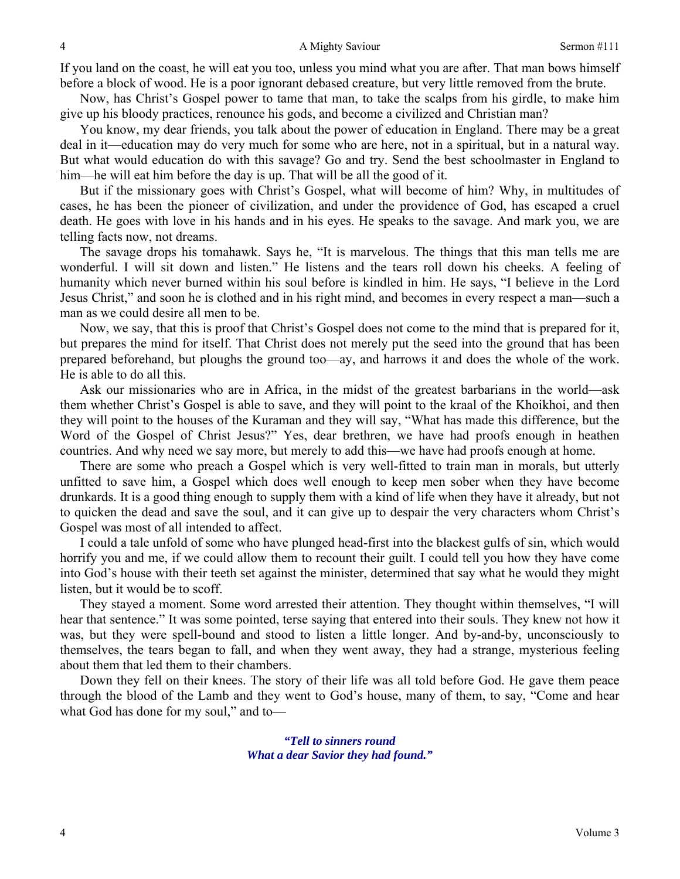If you land on the coast, he will eat you too, unless you mind what you are after. That man bows himself before a block of wood. He is a poor ignorant debased creature, but very little removed from the brute.

Now, has Christ's Gospel power to tame that man, to take the scalps from his girdle, to make him give up his bloody practices, renounce his gods, and become a civilized and Christian man?

You know, my dear friends, you talk about the power of education in England. There may be a great deal in it—education may do very much for some who are here, not in a spiritual, but in a natural way. But what would education do with this savage? Go and try. Send the best schoolmaster in England to him—he will eat him before the day is up. That will be all the good of it.

But if the missionary goes with Christ's Gospel, what will become of him? Why, in multitudes of cases, he has been the pioneer of civilization, and under the providence of God, has escaped a cruel death. He goes with love in his hands and in his eyes. He speaks to the savage. And mark you, we are telling facts now, not dreams.

The savage drops his tomahawk. Says he, "It is marvelous. The things that this man tells me are wonderful. I will sit down and listen." He listens and the tears roll down his cheeks. A feeling of humanity which never burned within his soul before is kindled in him. He says, "I believe in the Lord Jesus Christ," and soon he is clothed and in his right mind, and becomes in every respect a man—such a man as we could desire all men to be.

Now, we say, that this is proof that Christ's Gospel does not come to the mind that is prepared for it, but prepares the mind for itself. That Christ does not merely put the seed into the ground that has been prepared beforehand, but ploughs the ground too—ay, and harrows it and does the whole of the work. He is able to do all this.

Ask our missionaries who are in Africa, in the midst of the greatest barbarians in the world—ask them whether Christ's Gospel is able to save, and they will point to the kraal of the Khoikhoi, and then they will point to the houses of the Kuraman and they will say, "What has made this difference, but the Word of the Gospel of Christ Jesus?" Yes, dear brethren, we have had proofs enough in heathen countries. And why need we say more, but merely to add this—we have had proofs enough at home.

There are some who preach a Gospel which is very well-fitted to train man in morals, but utterly unfitted to save him, a Gospel which does well enough to keep men sober when they have become drunkards. It is a good thing enough to supply them with a kind of life when they have it already, but not to quicken the dead and save the soul, and it can give up to despair the very characters whom Christ's Gospel was most of all intended to affect.

I could a tale unfold of some who have plunged head-first into the blackest gulfs of sin, which would horrify you and me, if we could allow them to recount their guilt. I could tell you how they have come into God's house with their teeth set against the minister, determined that say what he would they might listen, but it would be to scoff.

They stayed a moment. Some word arrested their attention. They thought within themselves, "I will hear that sentence." It was some pointed, terse saying that entered into their souls. They knew not how it was, but they were spell-bound and stood to listen a little longer. And by-and-by, unconsciously to themselves, the tears began to fall, and when they went away, they had a strange, mysterious feeling about them that led them to their chambers.

Down they fell on their knees. The story of their life was all told before God. He gave them peace through the blood of the Lamb and they went to God's house, many of them, to say, "Come and hear what God has done for my soul," and to—

> *"Tell to sinners round What a dear Savior they had found."*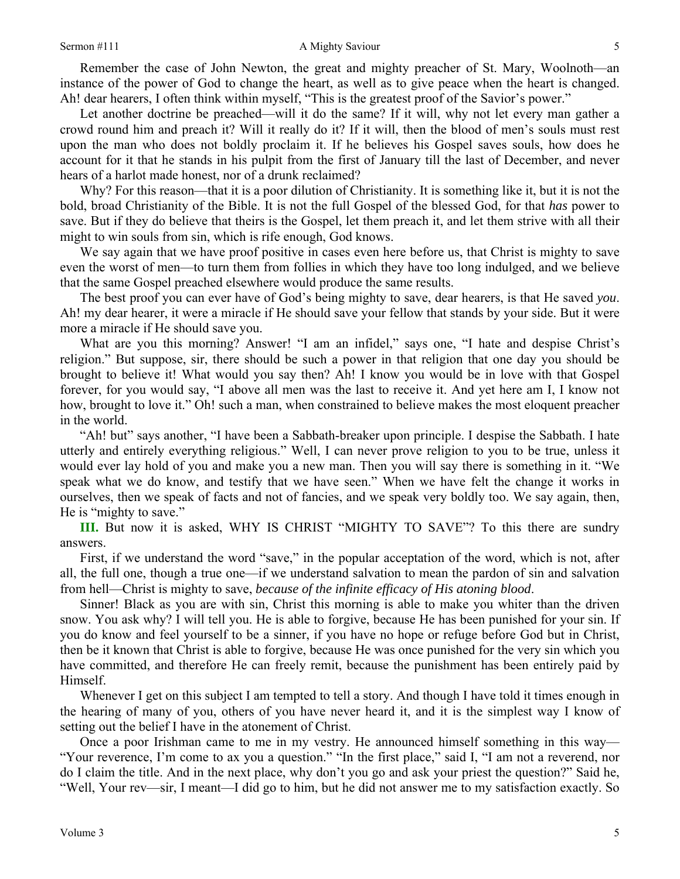Remember the case of John Newton, the great and mighty preacher of St. Mary, Woolnoth—an instance of the power of God to change the heart, as well as to give peace when the heart is changed. Ah! dear hearers, I often think within myself, "This is the greatest proof of the Savior's power."

Let another doctrine be preached—will it do the same? If it will, why not let every man gather a crowd round him and preach it? Will it really do it? If it will, then the blood of men's souls must rest upon the man who does not boldly proclaim it. If he believes his Gospel saves souls, how does he account for it that he stands in his pulpit from the first of January till the last of December, and never hears of a harlot made honest, nor of a drunk reclaimed?

Why? For this reason—that it is a poor dilution of Christianity. It is something like it, but it is not the bold, broad Christianity of the Bible. It is not the full Gospel of the blessed God, for that *has* power to save. But if they do believe that theirs is the Gospel, let them preach it, and let them strive with all their might to win souls from sin, which is rife enough, God knows.

We say again that we have proof positive in cases even here before us, that Christ is mighty to save even the worst of men—to turn them from follies in which they have too long indulged, and we believe that the same Gospel preached elsewhere would produce the same results.

The best proof you can ever have of God's being mighty to save, dear hearers, is that He saved *you*. Ah! my dear hearer, it were a miracle if He should save your fellow that stands by your side. But it were more a miracle if He should save you.

What are you this morning? Answer! "I am an infidel," says one, "I hate and despise Christ's religion." But suppose, sir, there should be such a power in that religion that one day you should be brought to believe it! What would you say then? Ah! I know you would be in love with that Gospel forever, for you would say, "I above all men was the last to receive it. And yet here am I, I know not how, brought to love it." Oh! such a man, when constrained to believe makes the most eloquent preacher in the world.

"Ah! but" says another, "I have been a Sabbath-breaker upon principle. I despise the Sabbath. I hate utterly and entirely everything religious." Well, I can never prove religion to you to be true, unless it would ever lay hold of you and make you a new man. Then you will say there is something in it. "We speak what we do know, and testify that we have seen." When we have felt the change it works in ourselves, then we speak of facts and not of fancies, and we speak very boldly too. We say again, then, He is "mighty to save."

**III.** But now it is asked, WHY IS CHRIST "MIGHTY TO SAVE"? To this there are sundry answers.

First, if we understand the word "save," in the popular acceptation of the word, which is not, after all, the full one, though a true one—if we understand salvation to mean the pardon of sin and salvation from hell—Christ is mighty to save, *because of the infinite efficacy of His atoning blood*.

Sinner! Black as you are with sin, Christ this morning is able to make you whiter than the driven snow. You ask why? I will tell you. He is able to forgive, because He has been punished for your sin. If you do know and feel yourself to be a sinner, if you have no hope or refuge before God but in Christ, then be it known that Christ is able to forgive, because He was once punished for the very sin which you have committed, and therefore He can freely remit, because the punishment has been entirely paid by Himself.

Whenever I get on this subject I am tempted to tell a story. And though I have told it times enough in the hearing of many of you, others of you have never heard it, and it is the simplest way I know of setting out the belief I have in the atonement of Christ.

Once a poor Irishman came to me in my vestry. He announced himself something in this way— "Your reverence, I'm come to ax you a question." "In the first place," said I, "I am not a reverend, nor do I claim the title. And in the next place, why don't you go and ask your priest the question?" Said he, "Well, Your rev—sir, I meant—I did go to him, but he did not answer me to my satisfaction exactly. So

5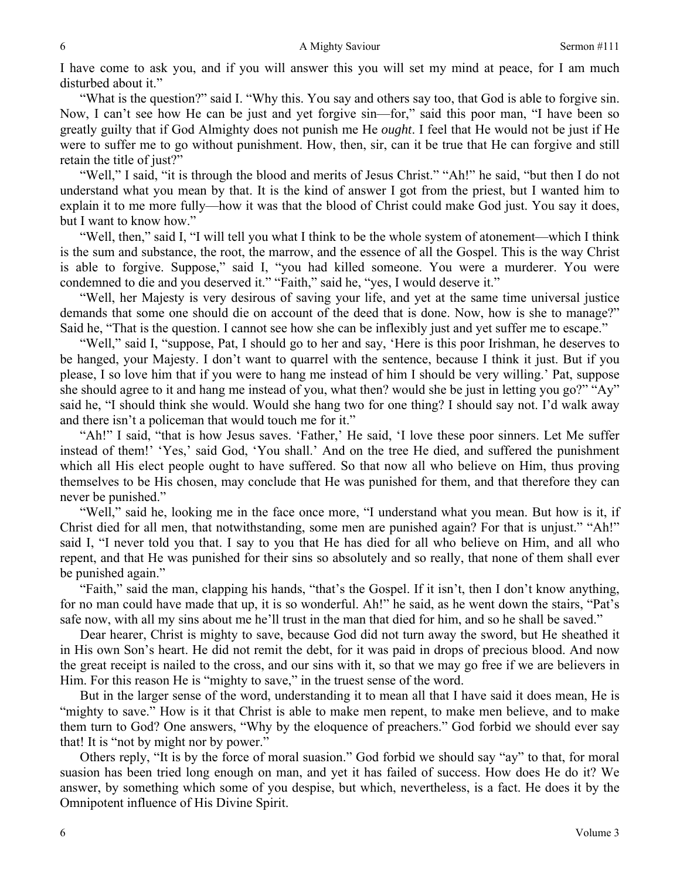I have come to ask you, and if you will answer this you will set my mind at peace, for I am much disturbed about it."

"What is the question?" said I. "Why this. You say and others say too, that God is able to forgive sin. Now, I can't see how He can be just and yet forgive sin—for," said this poor man, "I have been so greatly guilty that if God Almighty does not punish me He *ought*. I feel that He would not be just if He were to suffer me to go without punishment. How, then, sir, can it be true that He can forgive and still retain the title of just?"

"Well," I said, "it is through the blood and merits of Jesus Christ." "Ah!" he said, "but then I do not understand what you mean by that. It is the kind of answer I got from the priest, but I wanted him to explain it to me more fully—how it was that the blood of Christ could make God just. You say it does, but I want to know how."

"Well, then," said I, "I will tell you what I think to be the whole system of atonement—which I think is the sum and substance, the root, the marrow, and the essence of all the Gospel. This is the way Christ is able to forgive. Suppose," said I, "you had killed someone. You were a murderer. You were condemned to die and you deserved it." "Faith," said he, "yes, I would deserve it."

"Well, her Majesty is very desirous of saving your life, and yet at the same time universal justice demands that some one should die on account of the deed that is done. Now, how is she to manage?" Said he, "That is the question. I cannot see how she can be inflexibly just and yet suffer me to escape."

"Well," said I, "suppose, Pat, I should go to her and say, 'Here is this poor Irishman, he deserves to be hanged, your Majesty. I don't want to quarrel with the sentence, because I think it just. But if you please, I so love him that if you were to hang me instead of him I should be very willing.' Pat, suppose she should agree to it and hang me instead of you, what then? would she be just in letting you go?" "Ay" said he, "I should think she would. Would she hang two for one thing? I should say not. I'd walk away and there isn't a policeman that would touch me for it."

"Ah!" I said, "that is how Jesus saves. 'Father,' He said, 'I love these poor sinners. Let Me suffer instead of them!' 'Yes,' said God, 'You shall.' And on the tree He died, and suffered the punishment which all His elect people ought to have suffered. So that now all who believe on Him, thus proving themselves to be His chosen, may conclude that He was punished for them, and that therefore they can never be punished."

"Well," said he, looking me in the face once more, "I understand what you mean. But how is it, if Christ died for all men, that notwithstanding, some men are punished again? For that is unjust." "Ah!" said I, "I never told you that. I say to you that He has died for all who believe on Him, and all who repent, and that He was punished for their sins so absolutely and so really, that none of them shall ever be punished again."

"Faith," said the man, clapping his hands, "that's the Gospel. If it isn't, then I don't know anything, for no man could have made that up, it is so wonderful. Ah!" he said, as he went down the stairs, "Pat's safe now, with all my sins about me he'll trust in the man that died for him, and so he shall be saved."

Dear hearer, Christ is mighty to save, because God did not turn away the sword, but He sheathed it in His own Son's heart. He did not remit the debt, for it was paid in drops of precious blood. And now the great receipt is nailed to the cross, and our sins with it, so that we may go free if we are believers in Him. For this reason He is "mighty to save," in the truest sense of the word.

But in the larger sense of the word, understanding it to mean all that I have said it does mean, He is "mighty to save." How is it that Christ is able to make men repent, to make men believe, and to make them turn to God? One answers, "Why by the eloquence of preachers." God forbid we should ever say that! It is "not by might nor by power."

Others reply, "It is by the force of moral suasion." God forbid we should say "ay" to that, for moral suasion has been tried long enough on man, and yet it has failed of success. How does He do it? We answer, by something which some of you despise, but which, nevertheless, is a fact. He does it by the Omnipotent influence of His Divine Spirit.

6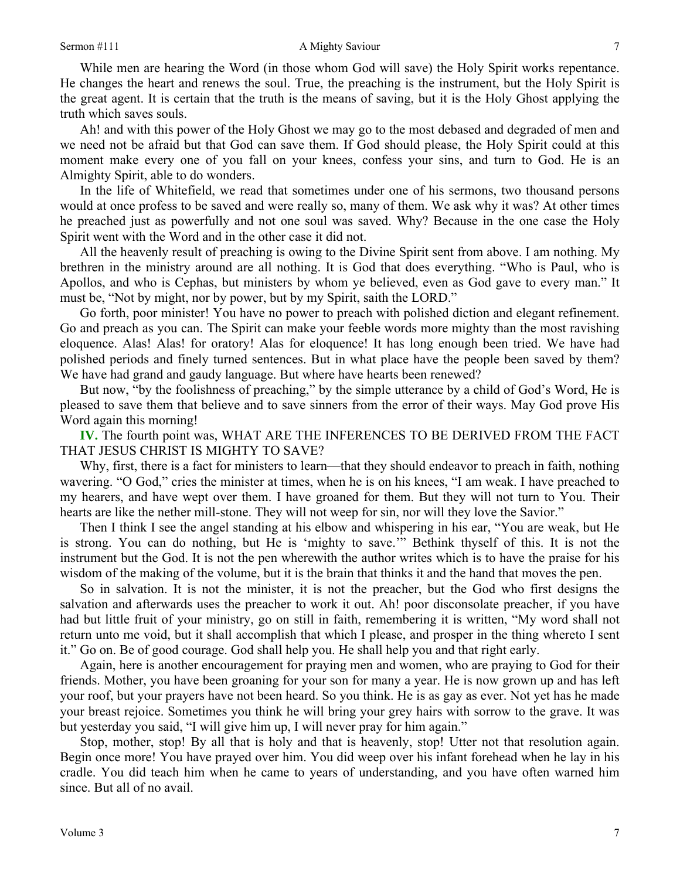While men are hearing the Word (in those whom God will save) the Holy Spirit works repentance. He changes the heart and renews the soul. True, the preaching is the instrument, but the Holy Spirit is the great agent. It is certain that the truth is the means of saving, but it is the Holy Ghost applying the truth which saves souls.

Ah! and with this power of the Holy Ghost we may go to the most debased and degraded of men and we need not be afraid but that God can save them. If God should please, the Holy Spirit could at this moment make every one of you fall on your knees, confess your sins, and turn to God. He is an Almighty Spirit, able to do wonders.

In the life of Whitefield, we read that sometimes under one of his sermons, two thousand persons would at once profess to be saved and were really so, many of them. We ask why it was? At other times he preached just as powerfully and not one soul was saved. Why? Because in the one case the Holy Spirit went with the Word and in the other case it did not.

All the heavenly result of preaching is owing to the Divine Spirit sent from above. I am nothing. My brethren in the ministry around are all nothing. It is God that does everything. "Who is Paul, who is Apollos, and who is Cephas, but ministers by whom ye believed, even as God gave to every man." It must be, "Not by might, nor by power, but by my Spirit, saith the LORD."

Go forth, poor minister! You have no power to preach with polished diction and elegant refinement. Go and preach as you can. The Spirit can make your feeble words more mighty than the most ravishing eloquence. Alas! Alas! for oratory! Alas for eloquence! It has long enough been tried. We have had polished periods and finely turned sentences. But in what place have the people been saved by them? We have had grand and gaudy language. But where have hearts been renewed?

But now, "by the foolishness of preaching," by the simple utterance by a child of God's Word, He is pleased to save them that believe and to save sinners from the error of their ways. May God prove His Word again this morning!

**IV.** The fourth point was, WHAT ARE THE INFERENCES TO BE DERIVED FROM THE FACT THAT JESUS CHRIST IS MIGHTY TO SAVE?

Why, first, there is a fact for ministers to learn—that they should endeavor to preach in faith, nothing wavering. "O God," cries the minister at times, when he is on his knees, "I am weak. I have preached to my hearers, and have wept over them. I have groaned for them. But they will not turn to You. Their hearts are like the nether mill-stone. They will not weep for sin, nor will they love the Savior."

Then I think I see the angel standing at his elbow and whispering in his ear, "You are weak, but He is strong. You can do nothing, but He is 'mighty to save.'" Bethink thyself of this. It is not the instrument but the God. It is not the pen wherewith the author writes which is to have the praise for his wisdom of the making of the volume, but it is the brain that thinks it and the hand that moves the pen.

So in salvation. It is not the minister, it is not the preacher, but the God who first designs the salvation and afterwards uses the preacher to work it out. Ah! poor disconsolate preacher, if you have had but little fruit of your ministry, go on still in faith, remembering it is written, "My word shall not return unto me void, but it shall accomplish that which I please, and prosper in the thing whereto I sent it." Go on. Be of good courage. God shall help you. He shall help you and that right early.

Again, here is another encouragement for praying men and women, who are praying to God for their friends. Mother, you have been groaning for your son for many a year. He is now grown up and has left your roof, but your prayers have not been heard. So you think. He is as gay as ever. Not yet has he made your breast rejoice. Sometimes you think he will bring your grey hairs with sorrow to the grave. It was but yesterday you said, "I will give him up, I will never pray for him again."

Stop, mother, stop! By all that is holy and that is heavenly, stop! Utter not that resolution again. Begin once more! You have prayed over him. You did weep over his infant forehead when he lay in his cradle. You did teach him when he came to years of understanding, and you have often warned him since. But all of no avail.